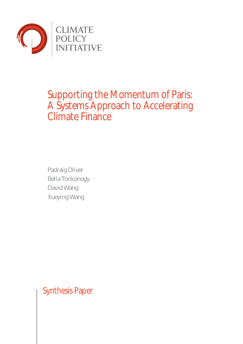

# Supporting the Momentum of Paris: A Systems Approach to Accelerating Climate Finance

Padraig Oliver Bella Tonkonogy David Wang Xueying Wang

Synthesis Paper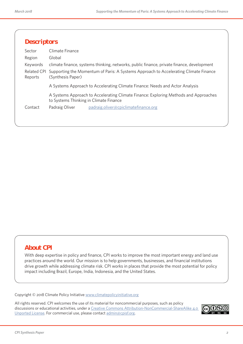| <b>Descriptors</b>     |                                                                                                                                |  |  |  |  |  |
|------------------------|--------------------------------------------------------------------------------------------------------------------------------|--|--|--|--|--|
| Sector                 | Climate Finance                                                                                                                |  |  |  |  |  |
| Region                 | Global                                                                                                                         |  |  |  |  |  |
| Keywords               | climate finance, systems thinking, networks, public finance, private finance, development                                      |  |  |  |  |  |
| Related CPI<br>Reports | Supporting the Momentum of Paris: A Systems Approach to Accelerating Climate Finance<br>(Synthesis Paper)                      |  |  |  |  |  |
|                        | A Systems Approach to Accelerating Climate Finance: Needs and Actor Analysis                                                   |  |  |  |  |  |
|                        | A Systems Approach to Accelerating Climate Finance: Exploring Methods and Approaches<br>to Systems Thinking in Climate Finance |  |  |  |  |  |
| Contact                | Padraig Oliver<br>padraig.oliver@cpiclimatefinance.org                                                                         |  |  |  |  |  |
|                        |                                                                                                                                |  |  |  |  |  |
|                        |                                                                                                                                |  |  |  |  |  |

## **About CPI**

With deep expertise in policy and finance, CPI works to improve the most important energy and land use practices around the world. Our mission is to help governments, businesses, and financial institutions drive growth while addressing climate risk. CPI works in places that provide the most potential for policy impact including Brazil, Europe, India, Indonesia, and the United States.

Copyright © 2018 Climate Policy Initiative www.climatepolicyinitiative.org

All rights reserved. CPI welcomes the use of its material for noncommercial purposes, such as policy discussions or educational activities, under a Creative Commons Attribution-NonCommercial-ShareAlike 4.0 Unported License. For commercial use, please contact admin@cpisf.org.

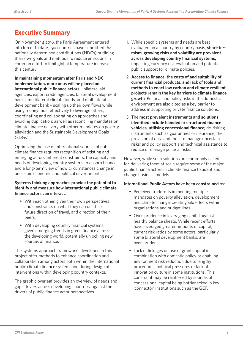# **Executive Summary**

On November 4 2016, the Paris Agreement entered into force. To date, 190 countries have submitted 164 nationally determined contributions (NDCs) outlining their own goals and methods to reduce emissions in common effort to limit global temperature increases this century.

**In maintaining momentum after Paris and NDC implementation, more onus will be placed on international public finance actors** – bilateral aid agencies, export credit agencies, bilateral development banks, multilateral climate funds, and multilateral development bank – scaling up their own flows while using money most effectively to leverage others; coordinating and collaborating on approaches and avoiding duplication; as well as reconciling mandates on climate finance delivery with other mandates on poverty alleviation and the Sustainable Development Goals (SDGs).

Optimizing the use of international sources of public climate finance requires recognition of existing and emerging actors' inherent constraints, the capacity and needs of developing country systems to absorb finance, and a long-term view of how circumstances change in uncertain economic and political environments.

### **Systems thinking approaches provide the potential to identify and measure how international public climate finance actors can interact**:

- With each other, given their own perspectives and constraints on what they can do, their future direction of travel, and direction of their peers.
- With developing country financial systems, given emerging trends in green finance across the developing world, potentially unlocking new sources of finance.

The systems approach frameworks developed in this project offer methods to enhance coordination and collaboration among actors both within the international public climate finance system, and during design of interventions within developing country contexts.

The graphic overleaf provides an overview of needs and gaps drivers across developing countries, against the drivers of public finance actor perspectives.

- 1. While specific systems and needs are best evaluated on a country by country basis, **short-termism, growing risks and volatility are prevalent across developing country financial systems,** impacting currency risk evaluation and potential public support for climate policies.
- 2. **Access to finance, the costs of and suitability of current financial products, and lack of tools and methods to enact low carbon and climate resilient projects remain the key barriers to climate finance growth**. Political and policy risks in the domestic environment are also cited as a key barrier to address in supporting private finance solutions.
- 3. The **most prevalent instruments and solutions identified include blended or structured finance vehicles, utilising concessional finance;** de-risking instruments such as guarantees or insurance; the provision of data and tools to manage uncertain risks; and policy support and technical assistance to reduce or manage political risks.

However, while such solutions are commonly called for, delivering them at scale require some of the major public finance actors in climate finance to adapt and change business models.

### **International Public Actors have been constrained** by:

- Perceived trade-offs in meeting multiple mandates on poverty alleviation, development and climate change, creating silo effects within organisations and budget lines.
- Over-prudence in leveraging capital against healthy balance sheets. While recent efforts have leveraged greater amounts of capital, current risk ratios by some actors, particularly some bilateral development banks, are over-prudent.
- Lack of linkages on use of grant capital in combination with domestic policy or enabling environment risk reduction due to lengthy procedures, political pressures or lack of innovation culture in some institutions. This constraint may be reinforced by sources of concessional capital being bottlenecked in key 'connector' institutions such as the GCF.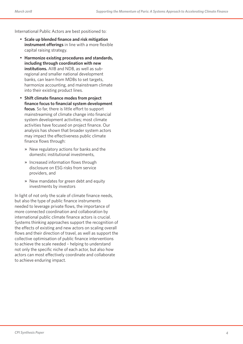International Public Actors are best positioned to:

- **Scale up blended finance and risk mitigation instrument offerings** in line with a more flexible capital raising strategy.
- **Harmonize existing procedures and standards, including through coordination with new institutions.** AIIB and NDB, as well as subregional and smaller national development banks, can learn from MDBs to set targets, harmonize accounting, and mainstream climate into their existing product lines.
- **Shift climate finance modes from project finance focus to financial system development focus**. So far, there is little effort to support mainstreaming of climate change into financial system development activities; most climate activities have focused on project finance. Our analysis has shown that broader system actors may impact the effectiveness public climate finance flows through:
	- » New regulatory actions for banks and the domestic institutional investments,
	- » Increased information flows through disclosure on ESG risks from service providers, and
	- » New mandates for green debt and equity investments by investors

In light of not only the scale of climate finance needs, but also the type of public finance instruments needed to leverage private flows, the importance of more connected coordination and collaboration by international public climate finance actors is crucial. Systems thinking approaches support the recognition of the effects of existing and new actors on scaling overall flows and their direction of travel, as well as support the collective optimisation of public finance interventions to achieve the scale needed – helping to understand not only the specific niche of each actor, but also how actors can most effectively coordinate and collaborate to achieve enduring impact.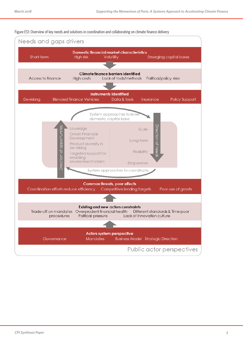

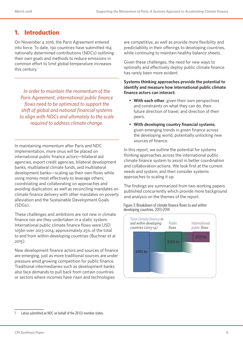# **1. Introduction**

On November 4 2016, the Paris Agreement entered into force. To date, 190 countries have submitted 164 nationally determined contributions (NDCs) outlining their own goals and methods to reduce emissions in common effort to limit global temperature increases this century.<sup>1</sup>

*In order to maintain the momentum of the Paris Agreement, international public finance flows need to be optimized to support the shift of global and national financial systems to align with NDCs and ultimately to the scale required to address climate change.*

In maintaining momentum after Paris and NDC implementation, more onus will be placed on international public finance actors—bilateral aid agencies, export credit agencies, bilateral development banks, multilateral climate funds, and multilateral development banks—scaling up their own flows while using money most effectively to leverage others; coordinating and collaborating on approaches and avoiding duplication; as well as reconciling mandates on climate finance delivery with other mandates on poverty alleviation and the Sustainable Development Goals (SDGs).

These challenges and ambitions are not new in climate finance nor are they undertaken in a static system. International public climate finance flows were USD 105bn over 2013-2014, approximately 25% of the total to and from within developing countries (Buchner et al 2015).

New development finance actors and sources of finance are emerging, just as more traditional sources are under pressure amid growing competition for public finance. Traditional intermediaries such as development banks also face demands to pull back from certain countries or sectors where incomes have risen and technologies

are competitive, as well as provide more flexibility and predictability in their offerings to developing countries, while continuing to maintain healthy balance sheets.

Given these challenges, the need for new ways to optimally and effectively deploy public climate finance has rarely been more evident.

### **Systems thinking approaches provide the potential to identify and measure how international public climate finance actors can interact:**

- **With each other**, given their own perspectives and constraints on what they can do, their future direction of travel, and direction of their peers.
- **With developing country financial systems**, given emerging trends in green finance across the developing world, potentially unlocking new sources of finance.

In this report, we outline the potential for systems thinking approaches across the international public climate finance system to assist in better coordination and collaboration actions. We look first at the current needs and system, and then consider systems approaches to scaling it up.

The findings are summarized from two working papers published concurrently which provide more background and analysis on the themes of the report.

Figure 3: Breakdown of climate finance flows to and within developing countries, 2013-2014



<sup>1</sup> Latvia submitted an NDC on behalf of the 28 EU member states.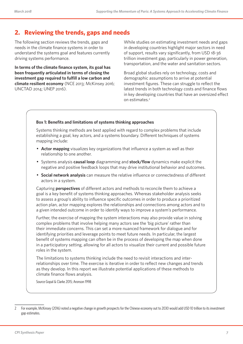# **2. Reviewing the trends, gaps and needs**

The following section reviews the trends, gaps and needs in the climate finance systems in order to understand the systems goal and features currently driving systems performance.

**In terms of the climate finance system, its goal has been frequently articulated in terms of closing the investment gap required to fulfill a low carbon and climate resilient economy** (NCE 2013; McKinsey 2016; UNCTAD 2014; UNEP 2016).

While studies on estimating investment needs and gaps in developing countries highlight major sectors in need of support, results vary significantly, from USD 18-36 trillion investment gap, particularly in power generation, transportation, and the water and sanitation sectors.

Broad global studies rely on technology, costs and demographic assumptions to arrive at potential investment figures. These can struggle to reflect the latest trends in both technology costs and finance flows in key developing countries that have an oversized effect on estimates.<sup>2</sup>

### **Box 1: Benefits and limitations of systems thinking approaches**

Systems thinking methods are best applied with regard to complex problems that include establishing a goal, key actors, and a systems boundary. Different techniques of systems mapping include:

- **Actor mapping** visualizes key organizations that influence a system as well as their relationship to one another.
- Systems analysis **causal loop** diagramming and **stock/flow** dynamics make explicit the negative and positive feedback loops that may drive institutional behavior and outcomes.
- **Social network analysis** can measure the relative influence or connectedness of different actors in a system.

Capturing **perspectives** of different actors and methods to reconcile them to achieve a goal is a key benefit of systems thinking approaches. Whereas stakeholder analysis seeks to assess a group's ability to influence specific outcomes in order to produce a prioritized action plan, actor mapping explores the relationships and connections among actors and to a given intended outcome in order to identify ways to improve a system's performance.

Further, the exercise of mapping the system interactions may also provide value in solving complex problems that involve helping many actors see the 'big picture' rather than their immediate concerns. This can set a more nuanced framework for dialogue and for identifying priorities and leverage points to meet future needs. In particular, the largest benefit of systems mapping can often be in the process of developing the map when done in a participatory setting, allowing for all actors to visualize their current and possible future roles in the system.

The limitations to systems thinking include the need to revisit interactions and interrelationships over time. The exercise is iterative in order to reflect new changes and trends as they develop. In this report we illustrate potential applications of these methods to climate finance flows analysis.

Source Gopal & Clarke 2015; Aronson 1998

<sup>2</sup> For example, McKinsey (2016) noted a negative change in growth prospects for the Chinese economy out to 2030 would add USD 10 trillion to its investment gap estimates.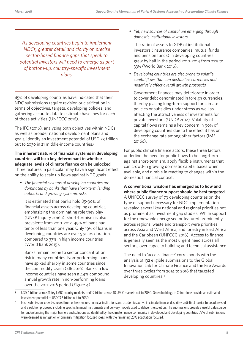*As developing countries begin to implement NDCs, greater detail and clarity on precise sector-based finance gaps that speak to potential investors will need to emerge as part of bottom-up, country-specific investment plans.*

85% of developing countries have indicated that their NDC submissions require revision or clarification in terms of objectives, targets, developing policies, and gathering accurate data to estimate baselines for each of those activities (UNFCCC 2016).

The IFC (2016), analyzing both objectives within NDCs as well as broader national development plans and goals, identify an investment potential of USD 23 trillion out to 2030 in 21 middle-income countries.3

### **The inherent nature of financial systems in developing countries will be a key determinant in whether adequate levels of climate finance can be unlocked**. Three features in particular may have a significant effect on the ability to scale up flows against NDC goals.

• *The financial systems of developing countries are dominated by banks that have short-term lending outlooks and growing systemic risks.* 

It is estimated that banks hold 85-90% of financial assets across developing countries, emphasizing the dominating role they play (UNEP Inquiry 2016a). Short-termism is also prevalent: from 2010-2012, 49% of loans had tenor of less than one year. Only 19% of loans in developing countries are over 5 years duration, compared to 33% in high income countries (World Bank 2015).

Banks remain prone to sector concentration risk in many countries. Non-performing loans have spiked sharply in some countries since the commodity crash (EIB 2016). Banks in low income countries have seen a 44% compound annual growth rate in non-performing loans over the 2011-2016 period (Figure 4).

• *Yet, new sources of capital are emerging through domestic institutional investors.* 

The ratio of assets to GDP of institutional investors (insurance companies, mutual funds and pension funds) in developing countries grew by half in the period 2010-2014 from 22% to 33% (World Bank 2016).

• *Developing countries are also prone to volatile capital flows that can destabilize currencies and negatively affect overall growth prospects.*

Government finances may deteriorate in order to cover debt denominated in foreign currencies, thereby placing long-term support for climate policies or subsidies under stress as well as affecting the attractiveness of investments for private investors (UNDP 2012). Volatility of capital flows remains a key concern in 90% of developing countries due to the effect it has on the exchange rate among other factors (IMF 2016c).

For public climate finance actors, these three factors underline the need for public flows to be long-term against short-termism, apply flexible instruments that can crowd-in growing domestic capital bases when available, and nimble in reacting to changes within the domestic financial context.

**A conventional wisdom has emerged as to how and where public finance support should be best targeted.** A UNFCCC survey of 79 developing countries on the type of support necessary for NDC implementation revealed several key national and regional priorities not as prominent as investment gap studies. While support for the renewable energy sector featured prominently across regions, waste and transport were priorities across Asia and West Africa; and forestry in East Africa and the Caribbean (UNFCCC 2016). Access to finance is generally seen as the most urgent need across all sectors, over capacity building and technical assistance.

The need to 'access finance' corresponds with the analysis of 132 eligible submissions to the Global Innovation Lab for Climate Finance and the Fire Awards over three cycles from 2014 to 2016 that targeted developing countries.4

4 Each submission, crowd-sourced from entrepreneurs, financial institutions and academics active in climate finance, describes a distinct barrier to be addressed and a solution proposed including specific financial instruments and delivery models used to deliver the solution. The submissions provide a useful data source for understanding the major barriers and solutions as identified by the climate finance community in developed and developing countries. 73% of submissions were deemed as mitigation or primarily mitigation focused ideas, with the remaining 28% adaptation focused.

<sup>3</sup> USD 4 trillion across 11 key LMIC country markets, and 19 trillion across 10 UMIC markets out to 2030. Green buildings in China alone provide an estimated investment potential of USD 13.6 trillion out to 2030.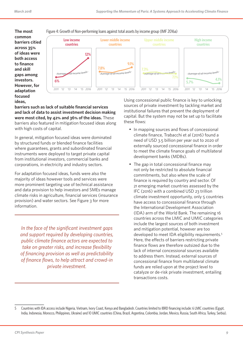**The most common barriers citied across 35% of ideas were both access to finance and skill gaps among investors. However, for adaptation focused ideas,** 



**barriers such as lack of suitable financial services and lack of data to assist investment decision making were most cited, by 42% and 36% of the ideas.** These barriers also featured in mitigation focused ideas along with high costs of capital.

In general, mitigation focused ideas were dominated by structured funds or blended finance facilities where guarantees, grants and subordinated financial instruments were deployed to target private capital from institutional investors, commercial banks and corporations, in electricity and industry sectors.

For adaptation focused ideas, funds were also the majority of ideas however tools and services were more prominent targeting use of technical assistance and data provision to help investors and SMEs manage climate risks in agriculture, financial services (insurance provision) and water sectors. See Figure 3 for more information.

*In the face of the significant investment gaps and support required by developing countries, public climate finance actors are expected to take on greater risks, and increase flexibility of financing provision as well as predictability of finance flows, to help attract and crowd-in private investment.* 

Using concessional public finance is key to unlocking sources of private investment by tackling market and institutional failures that prevent the deployment of capital. But the system may not be set up to facilitate these flows:

- In mapping sources and flows of concessional climate finance, Trabacchi et al (2016) found a need of USD 3.5 billion per year out to 2020 of externally sourced concessional finance in order to meet the climate finance goals of multilateral development banks (MDBs).
- The gap in total concessional finance may not only be restricted to absolute financial commitments, but also *where* the scale of finance is required by country and sector. Of 21 emerging market countries assessed by the IFC (2016) with a combined USD 23 trillion climate investment opportunity, only 5 countries have access to concessional finance through the International Development Association (IDA) arm of the World Bank. The remaining 16 countries across the LMIC and UMIC categories include the largest sources of both investment and mitigation potential, however are too developed to meet IDA eligibility requirements.<sup>5</sup> Here, the effects of barriers restricting private finance flows are therefore outsized due to the lack of internal concessional sources available to address them. Instead, external sources of concessional finance from multilateral climate funds are relied upon at the project level to catalyze or de-risk private investment, entailing transactions costs.

<sup>5</sup> Countries with IDA access include Nigeria, Vietnam, Ivory Coast, Kenya and Bangladesh. Countries limited to IBRD financing include: 6 LMIC countries (Egypt, India, Indonesia, Morocco, Philippines, Ukraine) and 10 UMIC countries (China, Brazil, Argentina, Colombia, Jordan, Mexico, Russia, South Africa, Turkey, Serbia).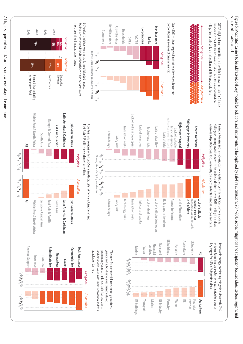sources of private capital. sources of private capital. Figure 5: Most cited barriers to be addressed, delivery models for solutions and instruments to be deployed by Lab/Fire submissions 2014-2016 across mitigation and adaptation focused ideas, sectors, regions and Figure 5: Most cited barriers to be addressed, delivery models for solutions and instruments to be deployed by Lab/Fire submissions 2014-2016 across mitigation and adaptation focused ideas, sectors, regions and

mitigation or primarily on mitigation and 28% on adaptation: Of 132 eligible ideas submitted to the Global Innovation Lab for Climate Finance and the FiRe awards over 2014-2016, 73% were focused on Of 132 eligible ideas submitted to the Global Innovation Lab for Climate mitigation or primarily on mitigation and 28% on adaptation: Finance and the FiRe awards over 2014-2016, 73% were focused on

# *Mitigation Adaptation*

Over 40% of ideas targeted institutional investors, banks and

Over 40% of ideas targeted institutional investors, banks and



60% of all the ideas were in the form of blended finance more prominent in adaptation ideas: facilities or structured funds, although tools and services were facilities or structured funds, although tools and services were 60% of all the ideas were in the form of blended finance more prominent in adaptation ideas:



skills gaps among investors were to be addressed cited in over 30% of mitigation ideas; Financial barriers such as access, cost of capital, along with technical barriers such as whereas adaptation ideas focused mostly on lack of suitable financial services and data whereas adaptation ideas focused mostly on lack of suitable financial services and data. skills gaps among investors were to be addressed cited in over 30% of mitigation ideas; Financial barriers such as access, cost of capital, along with technical barriers such as



East Asia & Pacific received most attention Countries and regions within Sub-Saharan Africa, Latin America & Caribberan and East Asia & Pacific received most attention. Countries and regions within Sub-Saharan Africa, Latin America & Caribberan and





grants and subordinate investment featured prominently across the ideas, technical assistance adaptation barriers. and data tools were instruments chosen to address The need for commercial investment, guarantees, adaptation barriers. and data tools were instruments chosen to address prominently across the ideas, technical assistance grants and subordinate investment featured The need for commercial investment, guarantees,

*10% 20% 30% 40% 50% 60%*

*10% 20%30% 40%50% 60%* **Marine Water** 

**EE buildings Transport** **Marine**

**Financial services**

**Transport**

**EE Industry**

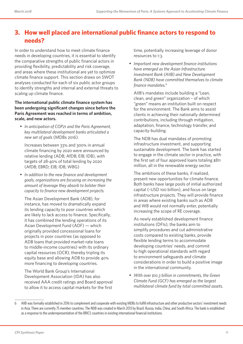# **3. How well placed are international public finance actors to respond to needs?**

In order to understand how to meet climate finance needs in developing countries, it is essential to identify the comparative strengths of public financial actors in providing flexibility, predictability and risk coverage, and areas where these institutional are yet to optimize climate finance support. This section draws on SWOT analyses conducted for each of six public actor groups to identify strengths and internal and external threats to scaling up climate finance.

### **The international public climate finance system has been undergoing significant changes since before the Paris Agreement was reached in terms of ambition, scale, and new actors.**

• *In anticipation of COP21 and the Paris Agreement, key multilateral development banks articulated a new set of goals* (MDBs 2016).

Increases between 33% and 300% in annual climate financing by 2020 were announced by relative lending (ADB; AfDB; EIB; IDB), with targets of 28-40% of total lending by 2020 (AfDB; EBRD; EIB; IDB; WBG)

• *In addition to the new finance and development goals, organizations are focusing on increasing the amount of leverage they absorb to bolster their capacity to finance new development projects.* 

The Asian Development Bank (ADB), for instance, has moved to dramatically expand its lending capacity to poor countries which are likely to lack access to finance. Specifically, it has combined the lending operations of its Asian Development Fund (ADF) — which originally provided concessional loans for projects in poor countries (as opposed to ADB loans that provided market-rate loans to middle-income countries) with its ordinary capital resources (OCR), thereby tripling its equity base and allowing ADB to provide 40% more financing to developing countries.

The World Bank Group's International Development Association (IDA) has also received AAA credit ratings and Board approval to allow it to access capital markets for the first

time, potentially increasing leverage of donor resources to 1:3.

• *Important new development finance institutions have emerged as the Asian Infrastructure Investment Bank (AIIB) and New Development Bank (NDB) have committed themselves to climate finance mandates.*<sup>6</sup>

AIIB's mandates include building a "Lean, clean, and green" organization – of which "green" means an institution built on respect for the environment. The Bank aims to assist clients in achieving their nationally determined contributions, including through mitigation, adaptation, finance, technology transfer, and capacity-building.

The NDB has dual mandates of promoting infrastructure investment, and supporting sustainable development. The bank has started to engage in the climate sector in practice, with the first set of four approved loans totaling \$811 million, all in the renewable energy sector.

The ambitions of these banks, if realized, present new opportunities for climate finance. Both banks have large pools of initial authorized capital (~USD 100 billion), and focus on large infrastructure projects. They will provide finance in areas where existing banks such as ADB and WB would not normally enter, potentially increasing the scope of RE coverage.

As newly established development finance institutions (DFIs), the banks aim to simplify procedures and cut administrative costs compared to existing banks, provide flexible lending terms to accommodate developing countries' needs, and commit to high operational standards with regard to environment safeguards and climate considerations in order to build a positive image in the international community.

• *With over \$10.3 billion in commitments, the Green Climate Fund (GCF) has emerged as the largest multilateral climate fund by total committed assets.* 

<sup>6</sup> AIIB was formally established in 2016 to complement and cooperate with existing MDBs to fulfill infrastructure and other productive sectors' investment needs in Asia. There are currently 75 member countries. The NDB was created in March 2013 by Brazil, Russia, India, China, and South Africa. The bank is established as a response to the underrepresentation of the BRICS countries in existing international financial institutions.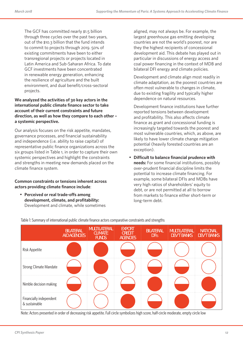The GCF has committed nearly \$1.5 billion through three cycles over the past two years, out of the \$10.3 billion that the fund intends to commit to projects through 2019. 50% of existing commitments have been to either transregional projects or projects located in Latin America and Sub-Saharan Africa. To date GCF investments have been concentrated in renewable energy generation, enhancing the resilience of agriculture and the built environment, and dual benefit/cross-sectoral projects.

### **We analyzed the activities of 30 key actors in the international public climate finance sector to take account of their current constraints and future direction, as well as how they compare to each other – a systemic perspective.**

Our analysis focuses on the risk appetite, mandates, governance processes, and financial sustainability and independence (i.e. ability to raise capital) of representative public finance organizations across the six groups listed in Table 1, in order to capture their own systemic perspectives and highlight the constraints and strengths in meeting new demands placed on the climate finance system.

**Common constraints or tensions inherent across actors providing climate finance include**:

• **Perceived or real trade-offs among development, climate, and profitability:**  Development and climate, while sometimes aligned, may not always be. For example, the largest greenhouse gas emitting developing countries are not the world's poorest, nor are they the highest recipients of concessional development aid. This debate has played out in particular in discussions of energy access and coal power financing in the context of MDB and bilateral DFI energy and climate policies.

Development and climate align most readily in climate adaptation, as the poorest countries are often most vulnerable to changes in climate, due to existing fragility and typically higher dependence on natural resources.

Development finance institutions have further reported tensions between development and profitability. This also affects climate finance as grant and concessional funding is increasingly targeted towards the poorest and most vulnerable countries, which, as above, are likely to have lower climate change mitigation potential (heavily forested countries are an exception).

• **Difficult to balance financial prudence with needs:** For some financial institutions, possibly over-prudent financial discipline limits the potential to increase climate financing. For example, some bilateral DFIs and MDBs have very high ratios of shareholders' equity to debt, or are not permitted at all to borrow from markets to finance either short-term or long-term debt.

|                                          | <b>BILATERAL</b><br><b>AID AGENCIES</b> | <b>MULTILATERAL</b><br><b>CLIMATE</b><br><b>FUNDS</b> | <b>EXPORT</b><br><b>CREDIT</b><br><b>AGENCIES</b> | <b>BILATERAL</b><br><b>DFIs</b> | <b>MULTILATERAL</b><br><b>DEV'T BANKS</b> | <b>NATIONAL</b><br><b>DEV'T BANKS</b> |
|------------------------------------------|-----------------------------------------|-------------------------------------------------------|---------------------------------------------------|---------------------------------|-------------------------------------------|---------------------------------------|
| <b>Risk Appetite</b>                     |                                         |                                                       |                                                   |                                 |                                           |                                       |
| <b>Strong Climate Mandate</b>            |                                         |                                                       |                                                   |                                 |                                           |                                       |
| Nimble decision making                   |                                         |                                                       |                                                   |                                 |                                           |                                       |
| Financially independent<br>& sustainable |                                         |                                                       |                                                   |                                 |                                           |                                       |

Table 1: Summary of international public climate finance actors comparative constraints and strengths

Note: Actors presented in order of decreasing risk appetite. Full circle symbolizes high score, half-circle moderate, empty circle low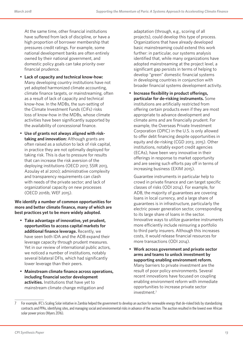At the same time, other financial institutions have suffered from lack of discipline, or have a high proportion of borrower membership that pressures credit ratings. For example, some national development banks are often entirely owned by their national government, and domestic policy goals can take priority over financial prudence.

- **Lack of capacity and technical know-how:**  Many developing country institutions have not yet adopted harmonized climate accounting, climate finance targets, or mainstreaming, often as a result of lack of capacity and technical know-how. In the MDBs, the sun-setting of the Climate Investment Funds (CIFs) risks loss of know-how in the MDBs, whose climate activities have been significantly supported by the availability of concessional finance.
- Use of grants not always aligned with risk**taking and innovation:** Although grants are often raised as a solution to lack of risk capital, in practice they are not optimally deployed for taking risk. This is due to pressure for results that can increase the risk aversion of the deploying institutions (OECD 2017, SSIR 2013, Azoulay et al 2010); administrative complexity and transparency requirements can clash with needs of the private sector; and lack of organizational capacity on new processes (OECD 2016b, WEF 2015).

### **We identify a number of common opportunities for more and better climate finance, many of which are best practices yet to be more widely adopted.**

- **Take advantage of innovative, yet prudent, opportunities to access capital markets for additional finance leverage.** Recently, we have seen both IDA and the ADB expand their leverage capacity through prudent measures. Yet in our review of international public actors, we noticed a number of institutions, notably several bilateral DFIs, which had significantly lower leverage than their peers.
- **Mainstream climate finance across operations, including financial sector development activities.** Institutions that have yet to mainstream climate change mitigation and

adaptation (through, e.g., scoring of all projects), could develop this type of process. Organizations that have already developed basic mainstreaming could extend this work further: in particular, our systems analysis identified that, while many organizations have adopted mainstreaming at the project level, a significant gap persists in terms of helping to develop "green" domestic financial systems in developing countries in conjunction with broader financial systems development activity.

• **Increase flexibility in product offerings, particular for de-risking instruments.** Some institutions are artificially restricted from offering certain products even if they are most appropriate to advance development and climate aims and are financially prudent. For example, the Overseas Private Investment Corporation (OPIC) in the U.S. is only allowed to offer debt financing despite opportunities in equity and de-risking (CGD 2013, 2015). Other institutions, notably export credit agencies (ECAs), have been very innovative in their offerings in response to market opportunity and are seeing such efforts pay off in terms of increasing business (EXIM 2015).

Guarantee instruments in particular help to crowd in private finance and can target specific classes of risks (ODI 2014). For example, for ADB, the majority of guarantees are covering loans in local currency, and a large share of guarantees is in infrastructure, particularly the electric power generation sector, corresponding to its large share of loans in the sector. Innovative ways to utilize guarantee instruments more efficiently include reinsuring a portfolio to third party insurers. Although this increases costs, it would release financial resources for more transactions (ODI 2014).

• **Work across government and private sector arms and teams to unlock investment by supporting enabling environment reform.**  Many barriers to private investment are the result of poor policy environments. Several recent innovations have focused on coupling enabling environment reform with immediate opportunities to increase private sector investment.7

<sup>7</sup> For example, IFC's Scaling Solar initiative in Zambia helped the government to develop an auction for renewable energy that de-risked bids by standardizing contracts and PPAs, identifying sites, and managing social and environmental risks in advance of the auction. The auction resulted in the lowest ever African solar power prices (Myers 2016).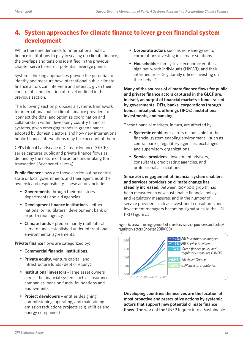# **4. System approaches for climate finance to lever green financial system development**

While there are demands for international public finance institutions to play in scaling up climate finance, the overlaps and tensions identified in the previous chapter serve to restrict potential leverage points.

Systems thinking approaches provide the potential to identify and measure how international public climate finance actors can intervene and interact, given their constraints and direction of travel outlined in the previous section.

The following section proposes a systems framework for international public climate finance providers to 'connect the dots' and optimize coordination and collaboration within developing country financial systems, given emerging trends in green finance adopted by domestic actors, and how new international public finance interventions may take account of them.

CPI's Global Landscape of Climate Finance (GLCF) series captures public and private finance flows as defined by the nature of the actors undertaking the transaction (Buchner et al 2015).

**Public finance** flows are those carried out by central, state or local governments and their agencies at their own risk and responsibility. These actors include:

- **Governments** through their ministries, departments and aid agencies.
- **Development finance institutions** either national or multilateral; development bank or export-credit agency.
- **Climate funds** predominantly multilateral climate funds established under international environmental agreements.

**Private finance** flows are categorized by:

- **Commercial financial institutions**.
- **Private equity**, venture capital, and infrastructure funds (debt or equity).
- **Institutional investors –** large asset owners across the financial system such as insurance companies, pension funds, foundations and endowments.
- **Project developers –** entities designing, commissioning, operating, and maintaining emission reductions projects (e.g. utilities and energy companies)
- **Corporate actors** such as non-energy sector corporations investing in climate solutions.
- **Households –** family-level economic entities, high net-worth individuals (HNWI), and their intermediaries (e.g. family offices investing on their behalf).

**Many of the sources of climate finance flows for public and private finance actors captured in the GLCF are, in itself, an output of financial markets – funds raised by governments, DFIs, banks, corporations through bonds, initial public offerings (IPOs), institutional investments, and banking.** 

These financial markets, in turn, are affected by

- **Systemic enablers** actors responsible for the financial system enabling environment – such as central banks, regulatory agencies, exchanges and supervisory organizations.
- **Service providers –** investment advisors, consultants, credit rating agencies, and professional associations.

**Since 2011, engagement of financial system enablers and services providers on climate change has steadily increased.** Between 120-160% growth has been measured in new sustainable financial policy and regulatory measures, and in the number of service providers such as investment consultants and investment managers becoming signatories to the UN PRI (Figure 4).

Figure 6: Growth in engagement of investors, service providers and policy/ regulatory actors (indexed 2011=100)



**Developing countries themselves are the location of most proactive and prescriptive actions by systemic actors that support new potential climate finance flows**. The work of the UNEP Inquiry into a Sustainable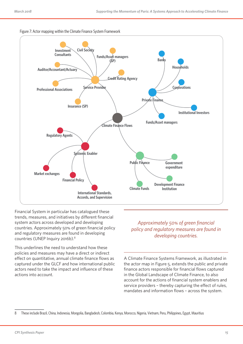

Figure 7: Actor mapping within the Climate Finance System Framework

Financial System in particular has catalogued these trends, measures, and initiatives by different financial system actors across developed and developing countries. Approximately 50% of green financial policy and regulatory measures are found in developing countries (UNEP Inquiry 2016b).<sup>8</sup>

This underlines the need to understand how these policies and measures may have a direct or indirect effect on quantitative, annual climate finance flows as captured under the GLCF and how international public actors need to take the impact and influence of these actions into account.

### *Approximately 50% of green financial policy and regulatory measures are found in developing countries.*

A Climate Finance Systems Framework, as illustrated in the actor map in Figure 5, extends the public and private finance actors responsible for financial flows captured in the Global Landscape of Climate Finance, to also account for the actions of financial system enablers and service providers – thereby capturing the effect of rules, mandates and information flows – across the system.

8 These include Brazil, China, Indonesia, Mongolia, Bangladesh, Colombia, Kenya, Morocco, Nigeria, Vietnam, Peru, Philippines, Egypt, Mauritius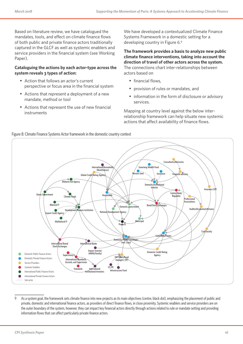Based on literature review, we have catalogued the mandates, tools, and effect on climate finance flows of both public and private finance actors traditionally captured in the GLCF as well as systemic enablers and service providers in the financial system (see Working Paper).

### **Cataloguing the actions by each actor-type across the system reveals 3 types of action:**

- Action that follows an actor's current perspective or focus area in the financial system
- Actions that represent a deployment of a new mandate, method or tool
- Actions that represent the use of new financial instruments

We have developed a contextualized Climate Finance Systems Framework in a domestic setting for a developing country in Figure 6.9

**The framework provides a basis to analyze new public climate finance interventions, taking into account the direction of travel of other actors across the system.** 

The connections chart inter-relationships between actors based on

- financial flows,
- provision of rules or mandates, and
- information in the form of disclosure or advisory services.

Mapping at country level against the below interrelationship framework can help situate new systemic actions that affect availability of finance flows.



### 9 As a system goal, the framework sets climate finance into new projects as its main objectives (centre, black dot), emphasizing the placement of public and private, domestic and international finance actors, as providers of direct finance flows, in close proximity. Systemic enablers and service providers are on the outer boundary of the system, however, they can impact key financial actors directly through actions related to rule or mandate setting and providing information flows that can affect particularly private finance actors.

### Figure 8: Climate Finance Systems Actor framework in the domestic country context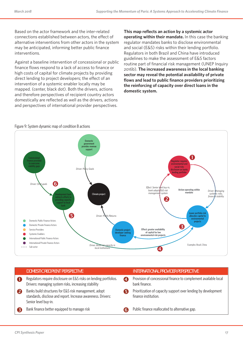Based on the actor framework and the inter-related connections established between actors, the effect of alternative interventions from other actors in the system may be anticipated, informing better public finance interventions.

Against a baseline intervention of concessional or public finance flows respond to a lack of access to finance or high costs of capital for climate projects by providing direct lending to project developers; the effect of an intervention of a systemic enabler locally may be mapped. (center, black dot). Both the drivers, actions and therefore perspectives of recipient country actors domestically are reflected as well as the drivers, actions and perspectives of international provider perspectives.

**This map reflects an action by a systemic actor operating within their mandate.** In this case the banking regulator mandates banks to disclose environmental and social (E&S) risks within their lending portfolio. Regulators in both Brazil and China have introduced guidelines to make the assessment of E&S factors routine part of financial risk management (UNEP Inquiry 2016b). **The increased awareness in the local banking sector may reveal the potential availability of private flows and lead to public finance providers prioritizing the reinforcing of capacity over direct loans in the domestic system.**

### Figure 9: System dynamic map of condition B actions



|   | DOMESTIC RECIPIENT PERSPECTIVE                                                                                                                |                | INTERNATIONAL PROVIDER PERSPECTIVE                                                     |
|---|-----------------------------------------------------------------------------------------------------------------------------------------------|----------------|----------------------------------------------------------------------------------------|
| O | Regulators require disclosure on E&S risks on lending portfolios.<br>Drivers: managing system risks, increasing stability                     | $\overline{a}$ | Provision of concessional finance to complement available local<br>bank finance.       |
| 2 | Banks build structures for E&S risk management, adopt<br>standards, disclose and report. Increase awareness. Drivers:<br>Senior level buy-in. |                | Prioritization of capacity support over lending by development<br>finance institution. |
| 3 | Bank finance better equipped to manage risk                                                                                                   |                | Public finance reallocated to alternative gap.                                         |
|   |                                                                                                                                               |                |                                                                                        |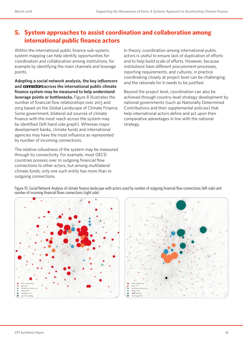# **5. System approaches to assist coordination and collaboration among international public finance actors**

Within the international public finance sub-system, system mapping can help identify opportunities for coordination and collaboration among institutions, for example by identifying the main channels and leverage points.

**Adopting a social network analysis, the key** *influencers* **and** *connectors* **across the international public climate finance system may be measured to help understand leverage points or bottlenecks.** Figure 8 illustrates the number of financial flow relationships over 2013 and 2014 based on the Global Landscape of Climate Finance. Some government, bilateral aid sources of climate finance with the most reach across the system may be identified (left hand side graph). Whereas major development banks, climate funds and international agencies may have the most influence as represented by number of incoming connections.

The relative robustness of the system may be measured through its connectivity. For example, most OECD countries possess over 10 outgoing financial flow connections to other actors, but among multilateral climate funds, only one such entity has more than 10 outgoing connections.

In theory, coordination among international public actors is useful to ensure lack of duplication of efforts and to help build scale of efforts. However, because institutions have different procurement processes, reporting requirements, and cultures, in practice coordinating closely at project level can be challenging, and the rationale for it needs to be justified.

Beyond the project level, coordination can also be achieved through country-level strategy development by national governments (such as Nationally Determined Contributions and their supplemental policies) that help international actors define and act upon their comparative advantages in line with the national strategy.

Figure 10: Social Network Analysis of climate finance landscape with actors sized by number of outgoing financial flow connections (left side) and number of incoming financial flows connections (right side)



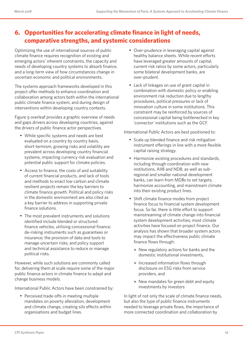# **6. Opportunities for accelerating climate finance in light of needs, comparative strengths, and systemic considerations**

Optimizing the use of international sources of public climate finance requires recognition of existing and emerging actors' inherent constraints, the capacity and needs of developing country systems to absorb finance, and a long-term view of how circumstances change in uncertain economic and political environments.

The systems approach frameworks developed in this project offer methods to enhance coordination and collaboration among actors both within the international public climate finance system, and during design of interventions within developing country contexts.

Figure 9 overleaf provides a graphic overview of needs and gaps drivers across developing countries, against the drivers of public finance actor perspectives.

- While specific systems and needs are best evaluated on a country by country basis, short-termism, growing risks and volatility are prevalent across developing country financial systems, impacting currency risk evaluation and potential public support for climate policies.
- Access to finance, the costs of and suitability of current financial products, and lack of tools and methods to enact low carbon and climate resilient projects remain the key barriers to climate finance growth. Political and policy risks in the domestic environment are also cited as a key barrier to address in supporting private finance solutions.
- The most prevalent instruments and solutions identified include blended or structured finance vehicles, utilising concessional finance; de-risking instruments such as guarantees or insurance; the provision of data and tools to manage uncertain risks; and policy support and technical assistance to reduce or manage political risks.

However, while such solutions are commonly called for, delivering them at scale require some of the major public finance actors in climate finance to adapt and change business models.

International Public Actors have been constrained by:

• Perceived trade-offs in meeting multiple mandates on poverty alleviation, development and climate change, creating silo effects within organisations and budget lines.

- Over-prudence in leveraging capital against healthy balance sheets. While recent efforts have leveraged greater amounts of capital, current risk ratios by some actors, particularly some bilateral development banks, are over-prudent.
- Lack of linkages on use of grant capital in combination with domestic policy or enabling environment risk reduction due to lengthy procedures, political pressures or lack of innovation culture in some institutions. This constraint may be reinforced by sources of concessional capital being bottlenecked in key 'connector' institutions such as the GCF.

International Public Actors are best positioned to:

- Scale up blended finance and risk mitigation instrument offerings in line with a more flexible capital raising strategy.
- Harmonize existing procedures and standards, including through coordination with new institutions. AIIB and NDB, as well as subregional and smaller national development banks, can learn from MDBs to set targets, harmonize accounting, and mainstream climate into their existing product lines.
- Shift climate finance modes from project finance focus to financial system development focus. So far, there is little effort to support mainstreaming of climate change into financial system development activities; most climate activities have focused on project finance. Our analysis has shown that broader system actors may impact the effectiveness public climate finance flows through:
	- » New regulatory actions for banks and the domestic institutional investments,
	- » Increased information flows through disclosure on ESG risks from service providers, and
	- » New mandates for green debt and equity investments by investors

In light of not only the scale of climate finance needs, but also the type of public finance instruments needed to leverage private flows, the importance of more connected coordination and collaboration by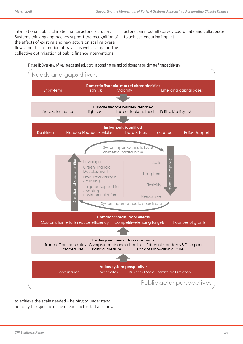international public climate finance actors is crucial. Systems thinking approaches support the recognition of the effects of existing and new actors on scaling overall flows and their direction of travel, as well as support the collective optimisation of public finance interventions

actors can most effectively coordinate and collaborate to achieve enduring impact.

Figure 11: Overview of key needs and solutions in coordination and collaborating on climate finance delivery



to achieve the scale needed – helping to understand not only the specific niche of each actor, but also how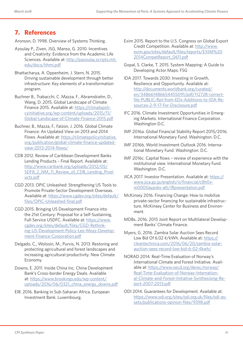# **7. References**

Aronson, D. 1998. Overview of Systems Thinking.

- Azoulay P., Ziven, JSG, Manso, G. 2010. Incentives and Creativity: Evidence from the Academic Life Sciences. Available at: http://pazoulay.scripts.mit. edu/docs/hhmi.pdf
- Bhattacharya, A. Oppenheim, J. Stern, N. 2015. Driving sustainable development through better infrastructure: Key elements of a transformation program.
- Buchner B., Trabacchi, C. Mazza, F., Abramskiehn, D., Wang, D. 2015. Global Landscape of Climate Finance 2015. Available at: https://climatepolicyinitiative.org/wp-content/uploads/2015/11/ Global-Landscape-of-Climate-Finance-2015.pdf
- Buchner, B., Mazza, F., Falzon, J. 2016. Global Climate Finance: An Updated View on 2013 and 2014 Flows. Available at: https://climatepolicyinitiative. org/publication/global-climate-finance-updatedview-2013-2014-flows/
- CDB 2012. Review of Caribbean Development Banks Lending Products – Final Report. Available at: http://www.caribank.org/uploads/2012/05/ SDF8\_2\_NM\_11\_Review\_of\_CDB\_Lending\_Products.pdf
- CGD 2013. OPIC Unleashed: Strengthening US Tools to Promote Private-Sector Development Overseas. Available at: https://www.cgdev.org/sites/default/ files/OPIC-Unleashed-final.pdf
- CGD 2015. Bringing US Development Finance into the 21st Century: Proposal for a Self-Sustaining, Full-Service USDFC. Available at: https://www. cgdev.org/sites/default/files/CGD-Rethinking-US-Development-Policy-Leo-Moss-Development-Finance-Corporation.pdf
- Delgado, C., Wolosin, M., Purvis, N. 2013. Restoring and protecting agricultural and forest landscapes and increasing agricultural productivity. New Climate Economy.
- Downs, E. 2011. Inside China Inc. China Development Bank's Cross-border Energy Deals. Available at: https://www.brookings.edu/wp-content/ uploads/2016/06/0321\_china\_energy\_downs.pdf
- EIB. 2016. Banking in Sub-Saharan Africa. European Investment Bank. Luxembourg.
- Exim 2015. Report to the U.S. Congress on Global Export Credit Competition. Available at: http://www. exim.gov/sites/default/files/reports/EXIM%20 2014CompetReport\_0611.pdf
- Gopal, S. Clarke, T. 2015. System Mapping: A Guide to Developing Actor Maps. FSG
- IDA 2017. Towards 2030: Investing in Growth, Resilience and Opportunity. Available at: http://documents.worldbank.org/curated/ en/348661486654455091/pdf/112728-correctfile-PUBLIC-Rpt-from-EDs-Additions-to-IDA-Resources-2-9-17-For-Disclosure.pdf
- IFC 2016. Climate Investment Opportunities in Emerging Markets. International Finance Corporation. Washington D.C.
- IMF 2016a. Global Financial Stability Report 2015/2016. International Monetary Fund. Washington. D.C.
- IMF 2016b, World Investment Outlook 2016. International Monetary Fund. Washington. D.C.
- IMF 2016c. Capital flows review of experience with the institutional view. International Monetary Fund. Washington. D.C.
- JICA 2017. Investor Presentation. Available at: https:// www.jica.go.jp/english/ir/financial/c8h0vm0000aypxks-att/IRpresentation.pdf
- McKinsey 2016. Financing Change: How to mobilize private-sector financing for sustainable infrastructure. McKinsey Center for Business and Environment.
- MDBs. 2016. 2015 Joint Report on Multilateral Development Banks' Climate Finance.
- Myers, G. 2016. Zambia Solar Auction Sees Record Low Bid Of 6.02 ¢/kWh. Available at: https:// cleantechnica.com/2016/06/20/zambia-solarauction-sees-record-low-bid-6-02-¢kwh/
- NORAD 2014. Real-Time Evaluation of Norway's International Climate and Forest Initiative. Available at: https://www.oecd.org/derec/norway/ Real-Time-Evaluation-of-Norway-International-Climate-and-Forest-Initiative-Synthesising-Report-2007-2013.pdf
- ODI 2014. Guarantees for Development. Available at: https://www.odi.org/sites/odi.org.uk/files/odi-assets/publications-opinion-files/9398.pdf